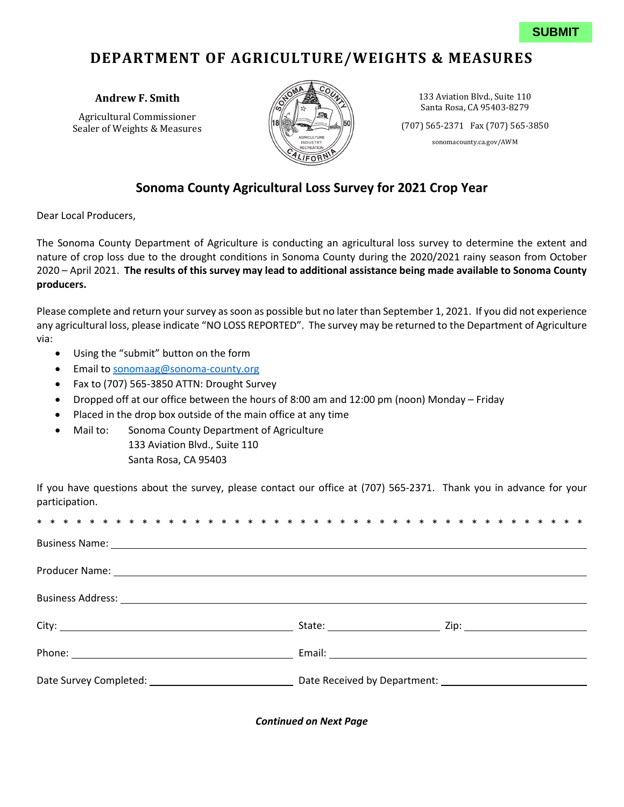## **DEPARTMENT OF AGRICULTURE/WEIGHTS & MEASURES**

Agricultural Commissioner (18  $\left(\frac{1}{2}\right)$   $\left(\frac{1}{2}\right)$   $\left(\frac{1}{2}\right)$   $\left(\frac{1}{2}\right)$  (707) 565-2371 Fax (707) 565-3850



**Andrew F. Smith**  133 Aviation Blvd., Suite 110 Santa Rosa, CA 95403-8279

[sonomacounty.ca.gov/AWM](https://sonomacounty.ca.gov/AWM)

## **Sonoma County Agricultural Loss Survey for 2021 Crop Year**

Dear Local Producers,

 nature of crop loss due to the drought conditions in Sonoma County during the 2020/2021 rainy season from October 2020 – April 2021. **The results of this survey may lead to additional assistance being made available to Sonoma County**  The Sonoma County Department of Agriculture is conducting an agricultural loss survey to determine the extent and **producers.** 

 Please complete and return your survey as soon as possible but no later than September 1, 2021. If you did not experience any agricultural loss, please indicate "NO LOSS REPORTED". The survey may be returned to the Department of Agriculture via:

- Using the "submit" button on the form
- Email to [sonomaag@sonoma-county.org](mailto:sonomaag@sonoma-county.org)
- Fax to (707) 565-3850 ATTN: Drought Survey
- Dropped off at our office between the hours of 8:00 am and 12:00 pm (noon) Monday Friday
- Placed in the drop box outside of the main office at any time
- Mail to: Sonoma County Department of Agriculture 133 Aviation Blvd., Suite 110 Santa Rosa, CA 95403

 If you have questions about the survey, please contact our office at (707) 565-2371. Thank you in advance for your participation.

| Business Name: 1988 Contract Contract Contract Contract Contract Contract Contract Contract Contract Contract Contract Contract Contract Contract Contract Contract Contract Contract Contract Contract Contract Contract Cont |  |
|--------------------------------------------------------------------------------------------------------------------------------------------------------------------------------------------------------------------------------|--|
| Producer Name: 1999 - 1999 - 1999 - 1999 - 1999 - 1999 - 1999 - 1999 - 1999 - 1999 - 1999 - 1999 - 1999 - 1999                                                                                                                 |  |
|                                                                                                                                                                                                                                |  |
|                                                                                                                                                                                                                                |  |
|                                                                                                                                                                                                                                |  |
|                                                                                                                                                                                                                                |  |

*Continued on Next Page*